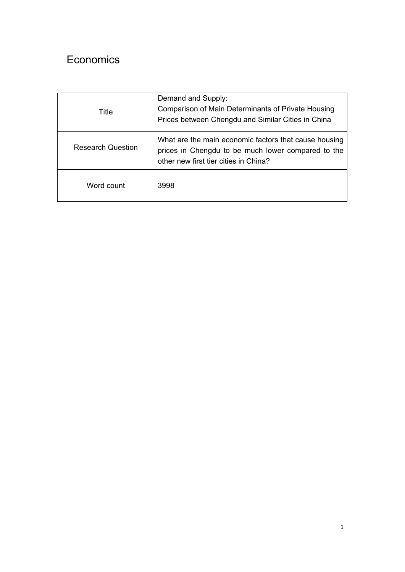## Economics

| Title                    | Demand and Supply:<br>Comparison of Main Determinants of Private Housing<br>Prices between Chengdu and Similar Cities in China                       |
|--------------------------|------------------------------------------------------------------------------------------------------------------------------------------------------|
| <b>Research Question</b> | What are the main economic factors that cause housing<br>prices in Chengdu to be much lower compared to the<br>other new first tier cities in China? |
| Word count               | 3998                                                                                                                                                 |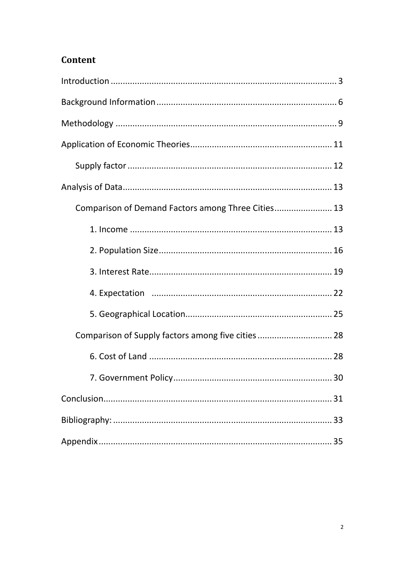## Content

| Comparison of Demand Factors among Three Cities 13 |    |
|----------------------------------------------------|----|
|                                                    |    |
|                                                    |    |
|                                                    |    |
|                                                    |    |
|                                                    |    |
| Comparison of Supply factors among five cities 28  |    |
|                                                    |    |
|                                                    | 30 |
|                                                    |    |
|                                                    |    |
|                                                    |    |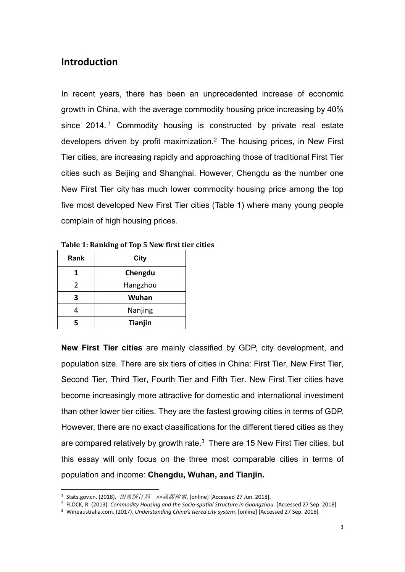## **Introduction**

In recent years, there has been an unprecedented increase of economic growth in China, with the average commodity housing price increasing by 40% since 2014.<sup>1</sup> Commodity housing is constructed by private real estate developers driven by profit maximization.2 The housing prices, in New First Tier cities, are increasing rapidly and approaching those of traditional First Tier cities such as Beijing and Shanghai. However, Chengdu as the number one New First Tier city has much lower commodity housing price among the top five most developed New First Tier cities (Table 1) where many young people complain of high housing prices.

| Rank          | City           |  |
|---------------|----------------|--|
|               | Chengdu        |  |
| $\mathcal{P}$ | Hangzhou       |  |
| 3             | Wuhan          |  |
|               | Nanjing        |  |
|               | <b>Tianjin</b> |  |

**Table 1: Ranking of Top 5 New first tier cities**

**New First Tier cities** are mainly classified by GDP, city development, and population size. There are six tiers of cities in China: First Tier, New First Tier, Second Tier, Third Tier, Fourth Tier and Fifth Tier. New First Tier cities have become increasingly more attractive for domestic and international investment than other lower tier cities. They are the fastest growing cities in terms of GDP. However, there are no exact classifications for the different tiered cities as they are compared relatively by growth rate.<sup>3</sup> There are 15 New First Tier cities, but this essay will only focus on the three most comparable cities in terms of population and income: **Chengdu, Wuhan, and Tianjin.** 

<sup>1</sup> Stats.gov.cn. (2018). 国家统计局 *>>*高级检索. [online] [Accessed 27 Jun. 2018].

<sup>&</sup>lt;sup>2</sup> FLOCK, R. (2013). *Commodity Housing and the Socio-spatial Structure in Guangzhou*. [Accessed 27 Sep. 2018]

<sup>3</sup> Wineaustralia.com. (2017). *Understanding China's tiered city system*. [online] [Accessed 27 Sep. 2018]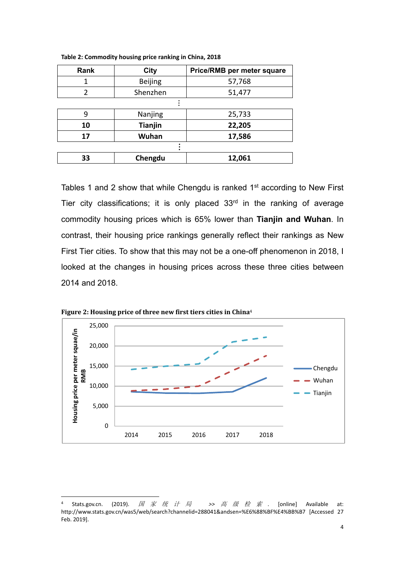| <b>Rank</b> | City           | Price/RMB per meter square |  |  |
|-------------|----------------|----------------------------|--|--|
|             | <b>Beijing</b> | 57,768                     |  |  |
| 2           | Shenzhen       | 51,477                     |  |  |
|             |                |                            |  |  |
| 9           | Nanjing        | 25,733                     |  |  |
| 10          | <b>Tianjin</b> | 22,205                     |  |  |
| 17          | Wuhan          | 17,586                     |  |  |
|             |                |                            |  |  |
| 33          | Chengdu        | 12,061                     |  |  |

**Table 2: Commodity housing price ranking in China, 2018** 

Tables 1 and 2 show that while Chengdu is ranked  $1<sup>st</sup>$  according to New First Tier city classifications; it is only placed 33<sup>rd</sup> in the ranking of average commodity housing prices which is 65% lower than **Tianjin and Wuhan**. In contrast, their housing price rankings generally reflect their rankings as New First Tier cities. To show that this may not be a one-off phenomenon in 2018, I looked at the changes in housing prices across these three cities between 2014 and 2018.



**Figure 2: Housing price of three new first tiers cities in China**<sup>4</sup>

<sup>5</sup>tats.gov.cn. (2019). *国 家 统 计 局 >> 高 级 检 索* . [online] Available at: http://www.stats.gov.cn/was5/web/search?channelid=288041&andsen=%E6%88%BF%E4%BB%B7 [Accessed 27 Feb. 2019].